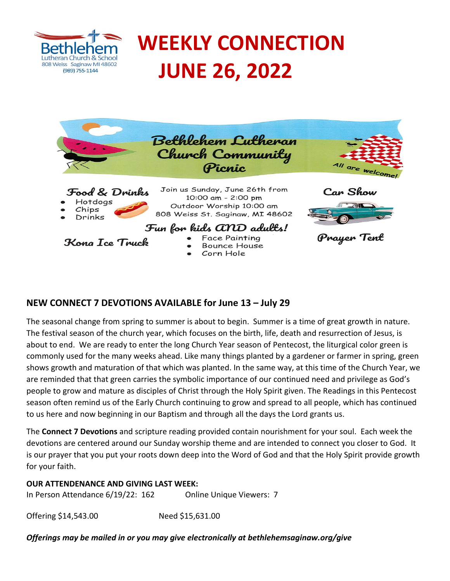

# **WEEKLY CONNECTION JUNE 26, 2022**



# **NEW CONNECT 7 DEVOTIONS AVAILABLE for June 13 – July 29**

The seasonal change from spring to summer is about to begin. Summer is a time of great growth in nature. The festival season of the church year, which focuses on the birth, life, death and resurrection of Jesus, is about to end. We are ready to enter the long Church Year season of Pentecost, the liturgical color green is commonly used for the many weeks ahead. Like many things planted by a gardener or farmer in spring, green shows growth and maturation of that which was planted. In the same way, at this time of the Church Year, we are reminded that that green carries the symbolic importance of our continued need and privilege as God's people to grow and mature as disciples of Christ through the Holy Spirit given. The Readings in this Pentecost season often remind us of the Early Church continuing to grow and spread to all people, which has continued to us here and now beginning in our Baptism and through all the days the Lord grants us.

The **Connect 7 Devotions** and scripture reading provided contain nourishment for your soul. Each week the devotions are centered around our Sunday worship theme and are intended to connect you closer to God. It is our prayer that you put your roots down deep into the Word of God and that the Holy Spirit provide growth for your faith.

## **OUR ATTENDENANCE AND GIVING LAST WEEK:**

In Person Attendance 6/19/22: 162 Online Unique Viewers: 7

Offering \$14,543.00 Need \$15,631.00

*Offerings may be mailed in or you may give electronically at bethlehemsaginaw.org/give*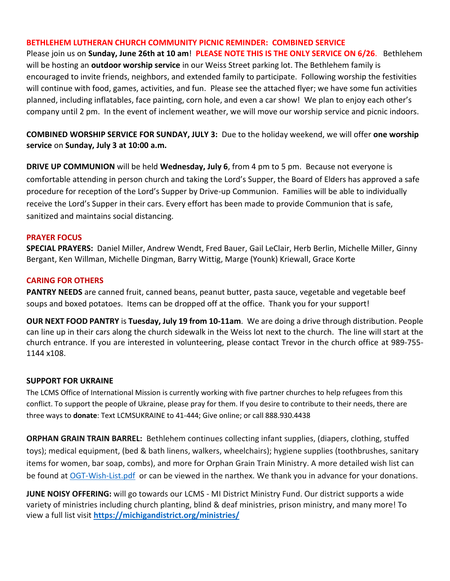#### **BETHLEHEM LUTHERAN CHURCH COMMUNITY PICNIC REMINDER: COMBINED SERVICE**

Please join us on **Sunday, June 26th at 10 am**! **PLEASE NOTE THIS IS THE ONLY SERVICE ON 6/26**. Bethlehem will be hosting an **outdoor worship service** in our Weiss Street parking lot. The Bethlehem family is encouraged to invite friends, neighbors, and extended family to participate. Following worship the festivities will continue with food, games, activities, and fun. Please see the attached flyer; we have some fun activities planned, including inflatables, face painting, corn hole, and even a car show! We plan to enjoy each other's company until 2 pm. In the event of inclement weather, we will move our worship service and picnic indoors.

**COMBINED WORSHIP SERVICE FOR SUNDAY, JULY 3:** Due to the holiday weekend, we will offer **one worship service** on **Sunday, July 3 at 10:00 a.m.**

**DRIVE UP COMMUNION** will be held **Wednesday, July 6**, from 4 pm to 5 pm. Because not everyone is comfortable attending in person church and taking the Lord's Supper, the Board of Elders has approved a safe procedure for reception of the Lord's Supper by Drive-up Communion. Families will be able to individually receive the Lord's Supper in their cars. Every effort has been made to provide Communion that is safe, sanitized and maintains social distancing.

#### **PRAYER FOCUS**

**SPECIAL PRAYERS:** Daniel Miller, Andrew Wendt, Fred Bauer, Gail LeClair, Herb Berlin, Michelle Miller, Ginny Bergant, Ken Willman, Michelle Dingman, Barry Wittig, Marge (Younk) Kriewall, Grace Korte

#### **CARING FOR OTHERS**

**PANTRY NEEDS** are canned fruit, canned beans, peanut butter, pasta sauce, vegetable and vegetable beef soups and boxed potatoes. Items can be dropped off at the office. Thank you for your support!

**OUR NEXT FOOD PANTRY** is **Tuesday, July 19 from 10-11am**. We are doing a drive through distribution. People can line up in their cars along the church sidewalk in the Weiss lot next to the church. The line will start at the church entrance. If you are interested in volunteering, please contact Trevor in the church office at 989-755- 1144 x108.

#### **SUPPORT FOR UKRAINE**

The LCMS Office of International Mission is currently working with five partner churches to help refugees from this conflict. To support the people of Ukraine, please pray for them. If you desire to contribute to their needs, there are three ways to **donate**: Text LCMSUKRAINE to 41-444; [Give](https://r20.rs6.net/tn.jsp?f=001MHieTDEs7GNsL976motrFfaJCB54M2FUhMqUXVmPmfs-FobfXbEKf5b2Z4Z5-p9qn7NNo1cItDTgQd10xmWQwkYKVlmcd0xnWnHnJQd0C7NfNqm-59ftSXHSjirPmEgfWRqR7P3l1d6WsBOHAcGmPWIK7BpNeMFu&c=o1VFUliifCm4IGFpkfcLpI2zYDHJVbGNqZfkvDab4eA9Ck8u9RK-EQ==&ch=h6ADNXOyGHcMdDAo2d5lDmI470IADHEtkrC4Gs_-q_9cxTMobhHT4w==) [online;](https://r20.rs6.net/tn.jsp?f=001MHieTDEs7GNsL976motrFfaJCB54M2FUhMqUXVmPmfs-FobfXbEKf5b2Z4Z5-p9qn7NNo1cItDTgQd10xmWQwkYKVlmcd0xnWnHnJQd0C7NfNqm-59ftSXHSjirPmEgfWRqR7P3l1d6WsBOHAcGmPWIK7BpNeMFu&c=o1VFUliifCm4IGFpkfcLpI2zYDHJVbGNqZfkvDab4eA9Ck8u9RK-EQ==&ch=h6ADNXOyGHcMdDAo2d5lDmI470IADHEtkrC4Gs_-q_9cxTMobhHT4w==) or call 888.930.4438

**ORPHAN GRAIN TRAIN BARREL:** Bethlehem continues collecting infant supplies, (diapers, clothing, stuffed toys); medical equipment, (bed & bath linens, walkers, wheelchairs); hygiene supplies (toothbrushes, sanitary items for women, bar soap, combs), and more for Orphan Grain Train Ministry. A more detailed wish list can be found at [OGT-Wish-List.pdf](https://www.ogt.org/wp-content/uploads/2021/07/OGT-Wish-List.pdf) or can be viewed in the narthex. We thank you in advance for your donations.

**JUNE NOISY OFFERING:** will go towards our LCMS - MI District Ministry Fund. Our district supports a wide variety of ministries including church planting, blind & deaf ministries, prison ministry, and many more! To view a full list visit **<https://michigandistrict.org/ministries/>**